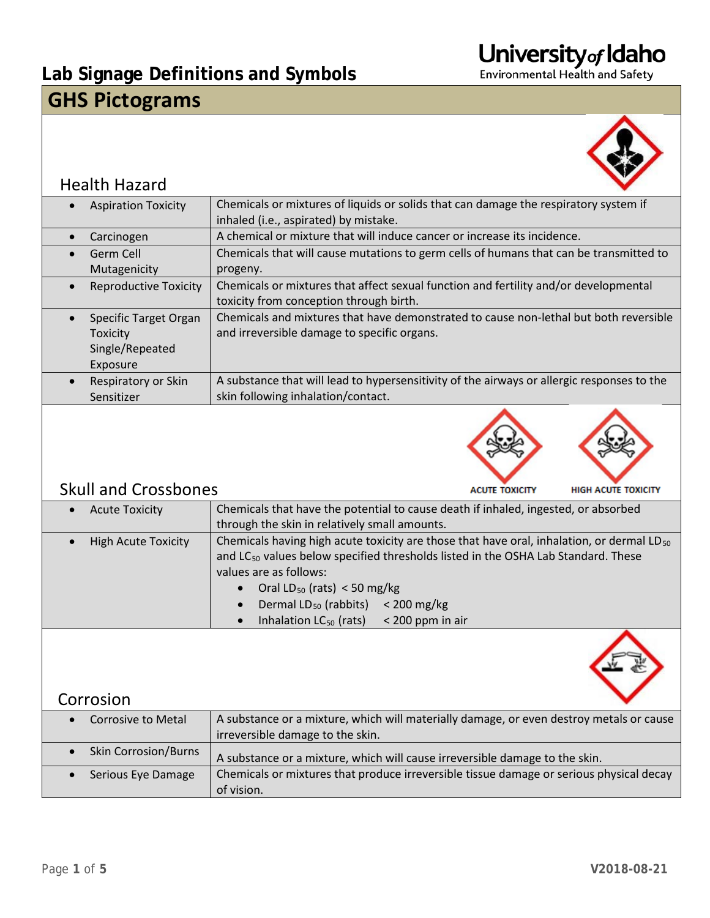### **Lab Signage Definitions and Symbols GHS Pictograms**



#### Health Hazard

|           | <b>Aspiration Toxicity</b>   | Chemicals or mixtures of liquids or solids that can damage the respiratory system if       |
|-----------|------------------------------|--------------------------------------------------------------------------------------------|
|           |                              | inhaled (i.e., aspirated) by mistake.                                                      |
| $\bullet$ | Carcinogen                   | A chemical or mixture that will induce cancer or increase its incidence.                   |
| $\bullet$ | Germ Cell                    | Chemicals that will cause mutations to germ cells of humans that can be transmitted to     |
|           | Mutagenicity                 | progeny.                                                                                   |
|           | <b>Reproductive Toxicity</b> | Chemicals or mixtures that affect sexual function and fertility and/or developmental       |
|           |                              | toxicity from conception through birth.                                                    |
|           | Specific Target Organ        | Chemicals and mixtures that have demonstrated to cause non-lethal but both reversible      |
|           | Toxicity                     | and irreversible damage to specific organs.                                                |
|           | Single/Repeated              |                                                                                            |
|           | Exposure                     |                                                                                            |
|           | Respiratory or Skin          | A substance that will lead to hypersensitivity of the airways or allergic responses to the |
|           | Sensitizer                   | skin following inhalation/contact.                                                         |





#### **ACUTE TOXICITY**

#### Skull and Crossbones

| <b>Acute Toxicity</b>      | Chemicals that have the potential to cause death if inhaled, ingested, or absorbed                    |  |  |
|----------------------------|-------------------------------------------------------------------------------------------------------|--|--|
|                            | through the skin in relatively small amounts.                                                         |  |  |
| <b>High Acute Toxicity</b> | Chemicals having high acute toxicity are those that have oral, inhalation, or dermal LD <sub>50</sub> |  |  |
|                            | and LC <sub>50</sub> values below specified thresholds listed in the OSHA Lab Standard. These         |  |  |
|                            | values are as follows:                                                                                |  |  |
|                            | Oral $LD_{50}$ (rats) < 50 mg/kg<br>$\bullet$                                                         |  |  |
|                            | Dermal LD <sub>50</sub> (rabbits) < 200 mg/kg<br>$\bullet$                                            |  |  |
|                            | c leabelation LC (rate) < 200 none in air                                                             |  |  |

Inhalation  $LC_{50}$  (rats)  $\leq$  200 ppm in air



#### Corrosion

| Corrosive to Metal          | A substance or a mixture, which will materially damage, or even destroy metals or cause               |
|-----------------------------|-------------------------------------------------------------------------------------------------------|
|                             | irreversible damage to the skin.                                                                      |
| <b>Skin Corrosion/Burns</b> | A substance or a mixture, which will cause irreversible damage to the skin.                           |
| Serious Eye Damage          | Chemicals or mixtures that produce irreversible tissue damage or serious physical decay<br>of vision. |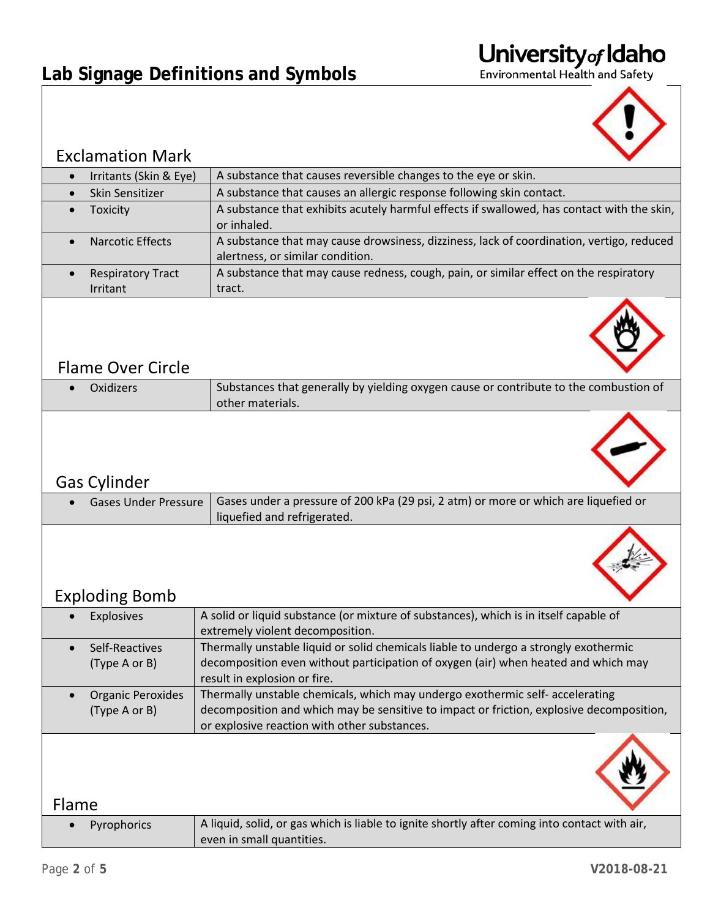### **Lab Signage Definitions and Symbols**





| <b>Exclamation Mark</b>                   |                                                                                                                                                                                                                           |  |  |
|-------------------------------------------|---------------------------------------------------------------------------------------------------------------------------------------------------------------------------------------------------------------------------|--|--|
| Irritants (Skin & Eye)                    | A substance that causes reversible changes to the eye or skin.                                                                                                                                                            |  |  |
| Skin Sensitizer<br>$\bullet$              | A substance that causes an allergic response following skin contact.                                                                                                                                                      |  |  |
| Toxicity                                  | A substance that exhibits acutely harmful effects if swallowed, has contact with the skin,<br>or inhaled.                                                                                                                 |  |  |
| <b>Narcotic Effects</b>                   | A substance that may cause drowsiness, dizziness, lack of coordination, vertigo, reduced<br>alertness, or similar condition.                                                                                              |  |  |
| <b>Respiratory Tract</b><br>Irritant      | A substance that may cause redness, cough, pain, or similar effect on the respiratory<br>tract.                                                                                                                           |  |  |
| <b>Flame Over Circle</b>                  |                                                                                                                                                                                                                           |  |  |
| Oxidizers                                 | Substances that generally by yielding oxygen cause or contribute to the combustion of<br>other materials.                                                                                                                 |  |  |
| <b>Gas Cylinder</b>                       |                                                                                                                                                                                                                           |  |  |
| <b>Gases Under Pressure</b>               | Gases under a pressure of 200 kPa (29 psi, 2 atm) or more or which are liquefied or<br>liquefied and refrigerated.                                                                                                        |  |  |
| <b>Exploding Bomb</b>                     |                                                                                                                                                                                                                           |  |  |
| <b>Explosives</b>                         | A solid or liquid substance (or mixture of substances), which is in itself capable of<br>extremely violent decomposition.                                                                                                 |  |  |
| Self-Reactives<br>(Type A or B)           | Thermally unstable liquid or solid chemicals liable to undergo a strongly exothermic<br>decomposition even without participation of oxygen (air) when heated and which may<br>result in explosion or fire.                |  |  |
| <b>Organic Peroxides</b><br>(Type A or B) | Thermally unstable chemicals, which may undergo exothermic self- accelerating<br>decomposition and which may be sensitive to impact or friction, explosive decomposition,<br>or explosive reaction with other substances. |  |  |
| Flame                                     |                                                                                                                                                                                                                           |  |  |
| Pyrophorics                               | A liquid, solid, or gas which is liable to ignite shortly after coming into contact with air,<br>even in small quantities.                                                                                                |  |  |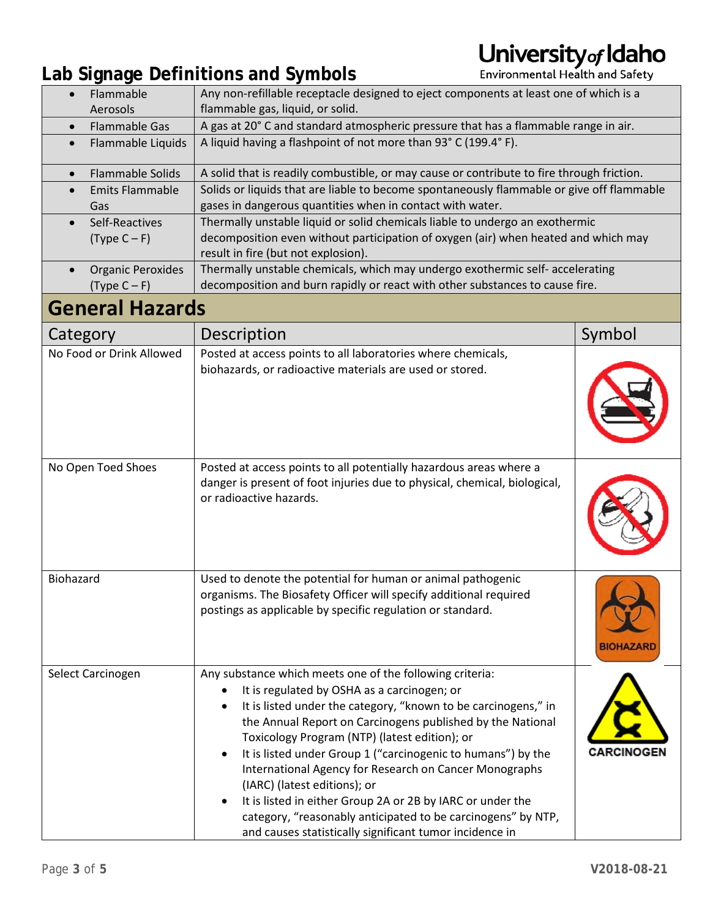### **Lab Signage Definitions and Symbols**

| Flammable<br>Aerosols                                                                          | Any non-refillable receptacle designed to eject components at least one of which is a<br>flammable gas, liquid, or solid.                                                                                                                                                                                                                                                                                                                                                                                                                                                                                                                                             |                   |
|------------------------------------------------------------------------------------------------|-----------------------------------------------------------------------------------------------------------------------------------------------------------------------------------------------------------------------------------------------------------------------------------------------------------------------------------------------------------------------------------------------------------------------------------------------------------------------------------------------------------------------------------------------------------------------------------------------------------------------------------------------------------------------|-------------------|
| <b>Flammable Gas</b><br>$\bullet$                                                              | A gas at 20° C and standard atmospheric pressure that has a flammable range in air.                                                                                                                                                                                                                                                                                                                                                                                                                                                                                                                                                                                   |                   |
| Flammable Liquids<br>$\bullet$                                                                 | A liquid having a flashpoint of not more than 93° C (199.4° F).                                                                                                                                                                                                                                                                                                                                                                                                                                                                                                                                                                                                       |                   |
| <b>Flammable Solids</b><br>$\bullet$                                                           | A solid that is readily combustible, or may cause or contribute to fire through friction.                                                                                                                                                                                                                                                                                                                                                                                                                                                                                                                                                                             |                   |
| <b>Emits Flammable</b><br>$\bullet$                                                            | Solids or liquids that are liable to become spontaneously flammable or give off flammable                                                                                                                                                                                                                                                                                                                                                                                                                                                                                                                                                                             |                   |
| gases in dangerous quantities when in contact with water.<br>Gas                               |                                                                                                                                                                                                                                                                                                                                                                                                                                                                                                                                                                                                                                                                       |                   |
| Thermally unstable liquid or solid chemicals liable to undergo an exothermic<br>Self-Reactives |                                                                                                                                                                                                                                                                                                                                                                                                                                                                                                                                                                                                                                                                       |                   |
| $(Type C - F)$                                                                                 | decomposition even without participation of oxygen (air) when heated and which may<br>result in fire (but not explosion).                                                                                                                                                                                                                                                                                                                                                                                                                                                                                                                                             |                   |
| <b>Organic Peroxides</b>                                                                       | Thermally unstable chemicals, which may undergo exothermic self- accelerating                                                                                                                                                                                                                                                                                                                                                                                                                                                                                                                                                                                         |                   |
| decomposition and burn rapidly or react with other substances to cause fire.<br>$(Type C - F)$ |                                                                                                                                                                                                                                                                                                                                                                                                                                                                                                                                                                                                                                                                       |                   |
| <b>General Hazards</b>                                                                         |                                                                                                                                                                                                                                                                                                                                                                                                                                                                                                                                                                                                                                                                       |                   |
| Category                                                                                       | Description                                                                                                                                                                                                                                                                                                                                                                                                                                                                                                                                                                                                                                                           | Symbol            |
| No Food or Drink Allowed                                                                       | Posted at access points to all laboratories where chemicals,<br>biohazards, or radioactive materials are used or stored.                                                                                                                                                                                                                                                                                                                                                                                                                                                                                                                                              |                   |
| No Open Toed Shoes                                                                             | Posted at access points to all potentially hazardous areas where a<br>danger is present of foot injuries due to physical, chemical, biological,<br>or radioactive hazards.                                                                                                                                                                                                                                                                                                                                                                                                                                                                                            |                   |
| Biohazard                                                                                      | Used to denote the potential for human or animal pathogenic<br>organisms. The Biosafety Officer will specify additional required<br>postings as applicable by specific regulation or standard.                                                                                                                                                                                                                                                                                                                                                                                                                                                                        | <b>BIOHAZARD</b>  |
| Select Carcinogen                                                                              | Any substance which meets one of the following criteria:<br>It is regulated by OSHA as a carcinogen; or<br>It is listed under the category, "known to be carcinogens," in<br>$\bullet$<br>the Annual Report on Carcinogens published by the National<br>Toxicology Program (NTP) (latest edition); or<br>It is listed under Group 1 ("carcinogenic to humans") by the<br>$\bullet$<br>International Agency for Research on Cancer Monographs<br>(IARC) (latest editions); or<br>It is listed in either Group 2A or 2B by IARC or under the<br>category, "reasonably anticipated to be carcinogens" by NTP,<br>and causes statistically significant tumor incidence in | <b>CARCINOGEN</b> |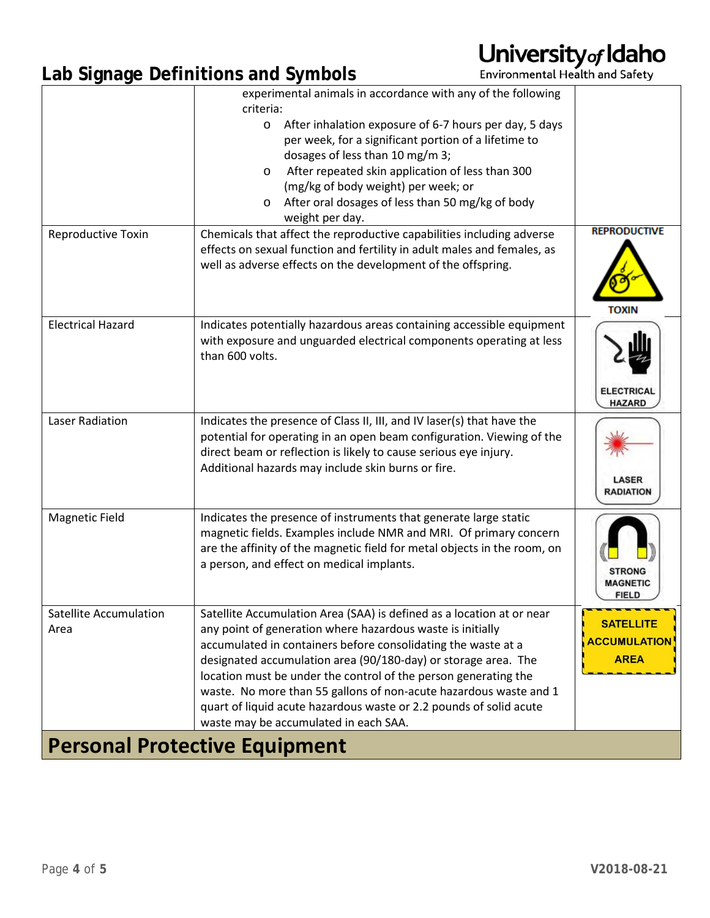### **Lab Signage Definitions and Symbols**

|                                       | experimental animals in accordance with any of the following<br>criteria:<br>After inhalation exposure of 6-7 hours per day, 5 days<br>$\circ$<br>per week, for a significant portion of a lifetime to                                                                                                                                                                                                                                                                                                                        |                                                        |  |
|---------------------------------------|-------------------------------------------------------------------------------------------------------------------------------------------------------------------------------------------------------------------------------------------------------------------------------------------------------------------------------------------------------------------------------------------------------------------------------------------------------------------------------------------------------------------------------|--------------------------------------------------------|--|
|                                       | dosages of less than 10 mg/m 3;<br>After repeated skin application of less than 300<br>O<br>(mg/kg of body weight) per week; or<br>After oral dosages of less than 50 mg/kg of body<br>O<br>weight per day.                                                                                                                                                                                                                                                                                                                   |                                                        |  |
| Reproductive Toxin                    | Chemicals that affect the reproductive capabilities including adverse<br>effects on sexual function and fertility in adult males and females, as<br>well as adverse effects on the development of the offspring.                                                                                                                                                                                                                                                                                                              | <b>REPRODUCTIVE</b><br>τοχιΝ                           |  |
| <b>Electrical Hazard</b>              | Indicates potentially hazardous areas containing accessible equipment<br>with exposure and unguarded electrical components operating at less<br>than 600 volts.                                                                                                                                                                                                                                                                                                                                                               | <b>ELECTRICAL</b><br><b>HAZARD</b>                     |  |
| Laser Radiation                       | Indicates the presence of Class II, III, and IV laser(s) that have the<br>potential for operating in an open beam configuration. Viewing of the<br>direct beam or reflection is likely to cause serious eye injury.<br>Additional hazards may include skin burns or fire.                                                                                                                                                                                                                                                     | <b>LASER</b><br><b>RADIATION</b>                       |  |
| <b>Magnetic Field</b>                 | Indicates the presence of instruments that generate large static<br>magnetic fields. Examples include NMR and MRI. Of primary concern<br>are the affinity of the magnetic field for metal objects in the room, on<br>a person, and effect on medical implants.                                                                                                                                                                                                                                                                | <b>STRONG</b><br><b>MAGNETIC</b><br><b>FIELD</b>       |  |
| <b>Satellite Accumulation</b><br>Area | Satellite Accumulation Area (SAA) is defined as a location at or near<br>any point of generation where hazardous waste is initially<br>accumulated in containers before consolidating the waste at a<br>designated accumulation area (90/180-day) or storage area. The<br>location must be under the control of the person generating the<br>waste. No more than 55 gallons of non-acute hazardous waste and 1<br>quart of liquid acute hazardous waste or 2.2 pounds of solid acute<br>waste may be accumulated in each SAA. | <b>SATELLITE</b><br><b>ACCUMULATION</b><br><b>AREA</b> |  |
| <b>Personal Protective Equipment</b>  |                                                                                                                                                                                                                                                                                                                                                                                                                                                                                                                               |                                                        |  |